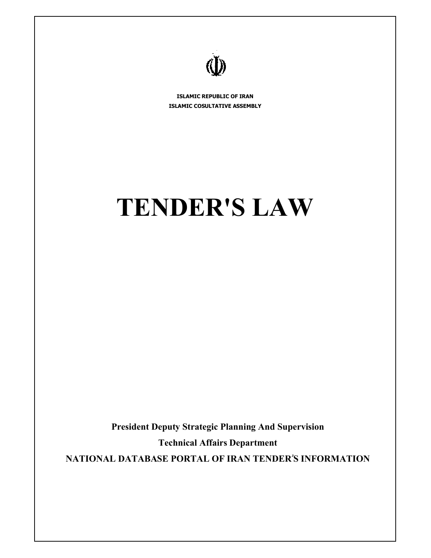

**ISLAMIC REPUBLIC OF IRAN ISLAMIC COSULTATIVE ASSEMBLY**

# **TENDER'S LAW**

**President Deputy Strategic Planning And Supervision Technical Affairs Department NATIONAL DATABASE PORTAL OF IRAN TENDERۥS INFORMATION**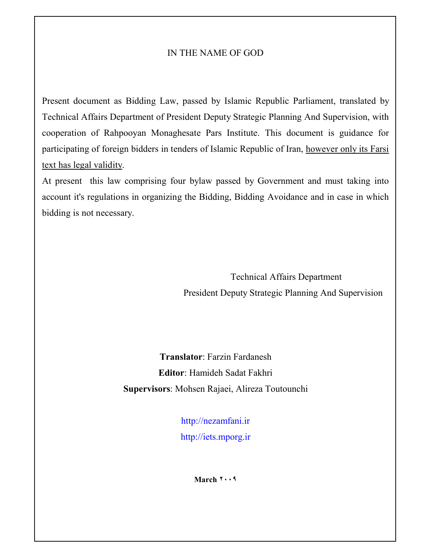#### IN THE NAME OF GOD

Present document as Bidding Law, passed by Islamic Republic Parliament, translated by Technical Affairs Department of President Deputy Strategic Planning And Supervision, with cooperation of Rahpooyan Monaghesate Pars Institute. This document is guidance for participating of foreign bidders in tenders of Islamic Republic of Iran, however only its Farsi text has legal validity.

At present this law comprising four bylaw passed by Government and must taking into account it's regulations in organizing the Bidding, Bidding Avoidance and in case in which bidding is not necessary.

> Technical Affairs Department President Deputy Strategic Planning And Supervision

**Translator**: Farzin Fardanesh **Editor**: Hamideh Sadat Fakhri **Supervisors**: Mohsen Rajaei, Alireza Toutounchi

> http://nezamfani.ir http://iets.mporg.ir

> > **March ٢٠٠٩**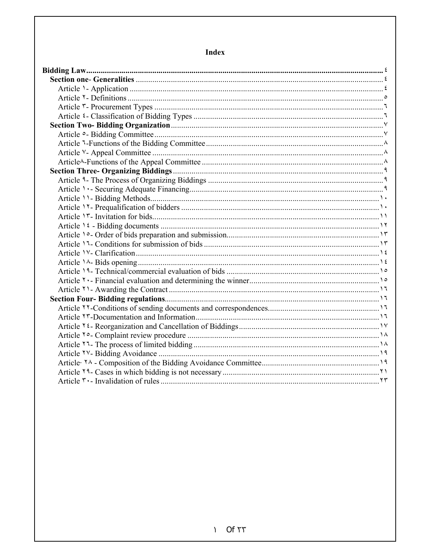### **Index**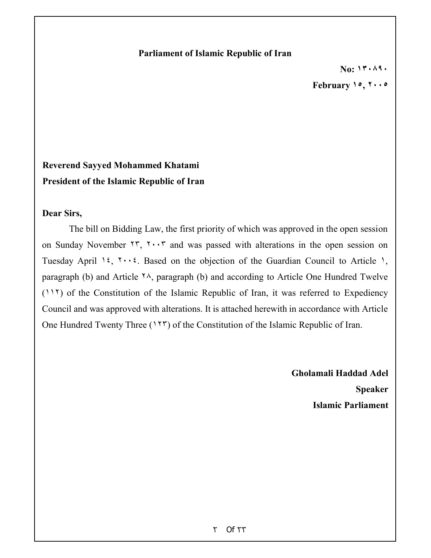#### **Parliament of Islamic Republic of Iran**

**No: ١٣٠٨٩٠**

**February ١٥, ٢٠٠٥**

# **Reverend Sayyed Mohammed Khatami President of the Islamic Republic of Iran**

#### **Dear Sirs,**

The bill on Bidding Law, the first priority of which was approved in the open session on Sunday November ٢٣, ٢٠٠٣ and was passed with alterations in the open session on Tuesday April 1<sup>2</sup>,  $1 \cdot 5$ . Based on the objection of the Guardian Council to Article 1, paragraph (b) and Article  $\lambda$ , paragraph (b) and according to Article One Hundred Twelve (١١٢) of the Constitution of the Islamic Republic of Iran, it was referred to Expediency Council and was approved with alterations. It is attached herewith in accordance with Article One Hundred Twenty Three (١٢٣) of the Constitution of the Islamic Republic of Iran.

> **Gholamali Haddad Adel Speaker Islamic Parliament**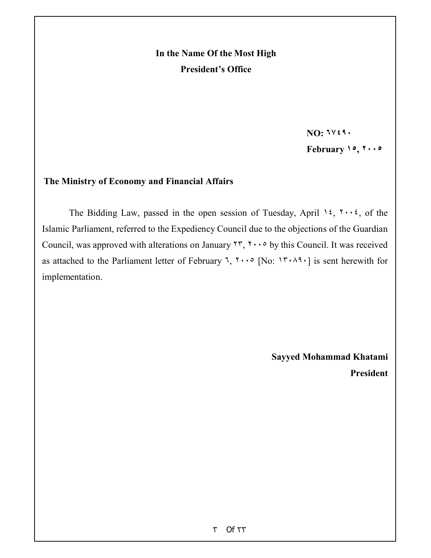# **In the Name Of the Most High President's Office**

**NO: ٦٧٤٩٠**

**February ١٥, ٢٠٠٥**

#### **The Ministry of Economy and Financial Affairs**

The Bidding Law, passed in the open session of Tuesday, April 12,  $\cdots$ , of the Islamic Parliament, referred to the Expediency Council due to the objections of the Guardian Council, was approved with alterations on January  $\forall \forall x, \forall \cdots$  by this Council. It was received as attached to the Parliament letter of February ٦, ٢٠٠٥ [No: ١٣٠٨٩٠] is sent herewith for implementation.

> **Sayyed Mohammad Khatami President**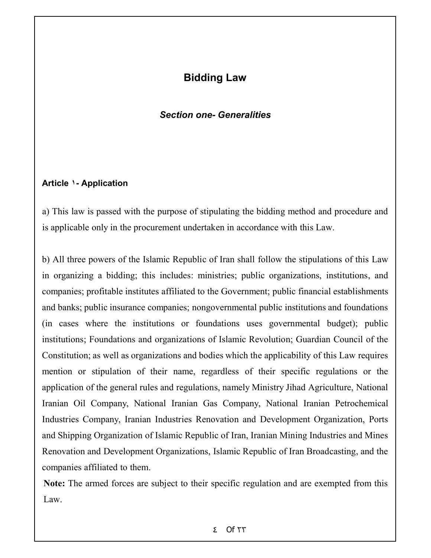# **Bidding Law**

#### *Section one- Generalities*

#### **Article ١- Application**

a) This law is passed with the purpose of stipulating the bidding method and procedure and is applicable only in the procurement undertaken in accordance with this Law.

b) All three powers of the Islamic Republic of Iran shall follow the stipulations of this Law in organizing a bidding; this includes: ministries; public organizations, institutions, and companies; profitable institutes affiliated to the Government; public financial establishments and banks; public insurance companies; nongovernmental public institutions and foundations (in cases where the institutions or foundations uses governmental budget); public institutions; Foundations and organizations of Islamic Revolution; Guardian Council of the Constitution; as well as organizations and bodies which the applicability of this Law requires mention or stipulation of their name, regardless of their specific regulations or the application of the general rules and regulations, namely Ministry Jihad Agriculture, National Iranian Oil Company, National Iranian Gas Company, National Iranian Petrochemical Industries Company, Iranian Industries Renovation and Development Organization, Ports and Shipping Organization of Islamic Republic of Iran, Iranian Mining Industries and Mines Renovation and Development Organizations, Islamic Republic of Iran Broadcasting, and the companies affiliated to them.

**Note:** The armed forces are subject to their specific regulation and are exempted from this Law.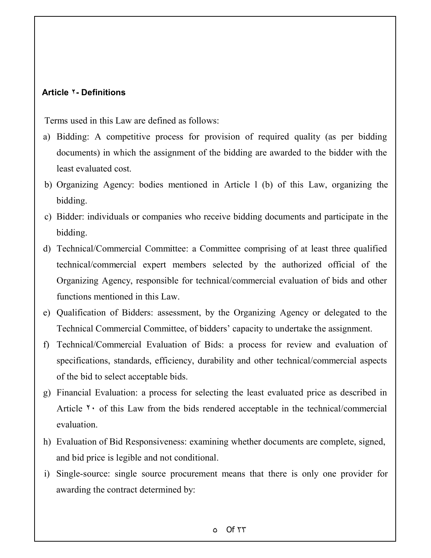#### **Article ٢- Definitions**

Terms used in this Law are defined as follows:

- a) Bidding: A competitive process for provision of required quality (as per bidding documents) in which the assignment of the bidding are awarded to the bidder with the least evaluated cost.
- b) Organizing Agency: bodies mentioned in Article l (b) of this Law, organizing the bidding.
- c) Bidder: individuals or companies who receive bidding documents and participate in the bidding.
- d) Technical/Commercial Committee: a Committee comprising of at least three qualified technical/commercial expert members selected by the authorized official of the Organizing Agency, responsible for technical/commercial evaluation of bids and other functions mentioned in this Law.
- e) Qualification of Bidders: assessment, by the Organizing Agency or delegated to the Technical Commercial Committee, of bidders' capacity to undertake the assignment.
- f) Technical/Commercial Evaluation of Bids: a process for review and evaluation of specifications, standards, efficiency, durability and other technical/commercial aspects of the bid to select acceptable bids.
- g) Financial Evaluation: a process for selecting the least evaluated price as described in Article  $\gamma$  of this Law from the bids rendered acceptable in the technical/commercial evaluation.
- h) Evaluation of Bid Responsiveness: examining whether documents are complete, signed, and bid price is legible and not conditional.
- i) Single-source: single source procurement means that there is only one provider for awarding the contract determined by: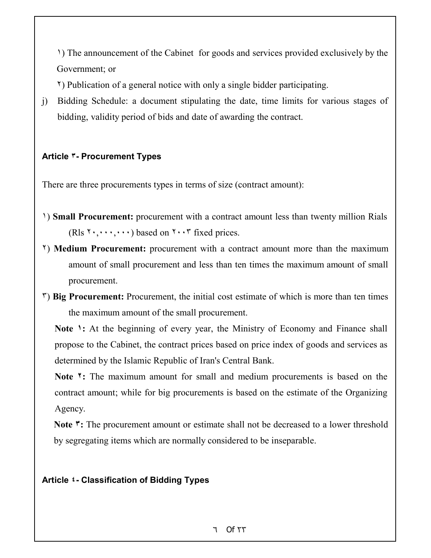١) The announcement of the Cabinet for goods and services provided exclusively by the Government; or

٢) Publication of a general notice with only a single bidder participating.

j) Bidding Schedule: a document stipulating the date, time limits for various stages of bidding, validity period of bids and date of awarding the contract.

## **Article ٣- Procurement Types**

There are three procurements types in terms of size (contract amount):

- ١) **Small Procurement:** procurement with a contract amount less than twenty million Rials (Rls ٢٠,٠٠٠,٠٠٠) based on ٢٠٠٣ fixed prices.
- ٢) **Medium Procurement:** procurement with a contract amount more than the maximum amount of small procurement and less than ten times the maximum amount of small procurement.
- ٣) **Big Procurement:** Procurement, the initial cost estimate of which is more than ten times the maximum amount of the small procurement.

**Note 1**: At the beginning of every year, the Ministry of Economy and Finance shall propose to the Cabinet, the contract prices based on price index of goods and services as determined by the Islamic Republic of Iran's Central Bank.

**Note ٢:** The maximum amount for small and medium procurements is based on the contract amount; while for big procurements is based on the estimate of the Organizing Agency.

**Note ٣:** The procurement amount or estimate shall not be decreased to a lower threshold by segregating items which are normally considered to be inseparable.

## **Article ٤- Classification of Bidding Types**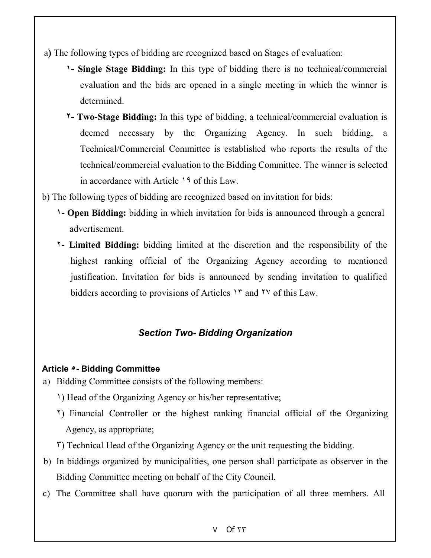- a**)** The following types of bidding are recognized based on Stages of evaluation:
	- **١ Single Stage Bidding:** In this type of bidding there is no technical/commercial evaluation and the bids are opened in a single meeting in which the winner is determined.
	- **٢ Two-Stage Bidding:** In this type of bidding, a technical/commercial evaluation is deemed necessary by the Organizing Agency. In such bidding, a Technical/Commercial Committee is established who reports the results of the technical/commercial evaluation to the Bidding Committee. The winner is selected in accordance with Article ١٩ of this Law.
- b) The following types of bidding are recognized based on invitation for bids:
	- **١ Open Bidding:** bidding in which invitation for bids is announced through a general advertisement.
	- **٢ Limited Bidding:** bidding limited at the discretion and the responsibility of the highest ranking official of the Organizing Agency according to mentioned justification. Invitation for bids is announced by sending invitation to qualified bidders according to provisions of Articles <sup>1</sup> and <sup>1</sup> v of this Law.

## *Section Two- Bidding Organization*

#### **Article ٥- Bidding Committee**

- a) Bidding Committee consists of the following members:
	- ١) Head of the Organizing Agency or his/her representative;
	- ٢) Financial Controller or the highest ranking financial official of the Organizing Agency, as appropriate;
	- ٣) Technical Head of the Organizing Agency or the unit requesting the bidding.
- b) In biddings organized by municipalities, one person shall participate as observer in the Bidding Committee meeting on behalf of the City Council.
- c) The Committee shall have quorum with the participation of all three members. All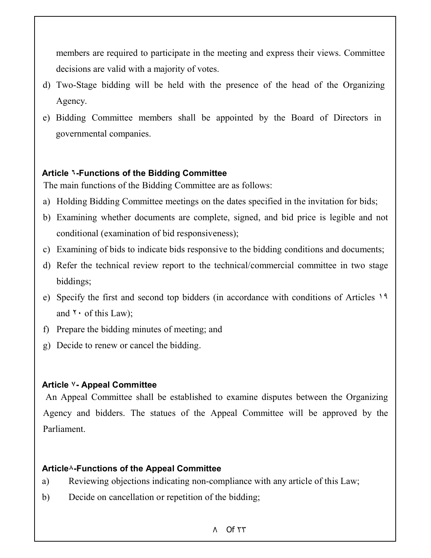members are required to participate in the meeting and express their views. Committee decisions are valid with a majority of votes.

- d) Two-Stage bidding will be held with the presence of the head of the Organizing Agency.
- e) Bidding Committee members shall be appointed by the Board of Directors in governmental companies.

## **Article ٦-Functions of the Bidding Committee**

The main functions of the Bidding Committee are as follows:

- a) Holding Bidding Committee meetings on the dates specified in the invitation for bids;
- b) Examining whether documents are complete, signed, and bid price is legible and not conditional (examination of bid responsiveness);
- c) Examining of bids to indicate bids responsive to the bidding conditions and documents;
- d) Refer the technical review report to the technical/commercial committee in two stage biddings;
- e) Specify the first and second top bidders (in accordance with conditions of Articles ١٩ and  $\mathbf{r} \cdot \mathbf{r}$  of this Law);
- f) Prepare the bidding minutes of meeting; and
- g) Decide to renew or cancel the bidding.

## **Article ٧- Appeal Committee**

An Appeal Committee shall be established to examine disputes between the Organizing Agency and bidders. The statues of the Appeal Committee will be approved by the Parliament.

## **Article٨-Functions of the Appeal Committee**

- a) Reviewing objections indicating non-compliance with any article of this Law;
- b) Decide on cancellation or repetition of the bidding;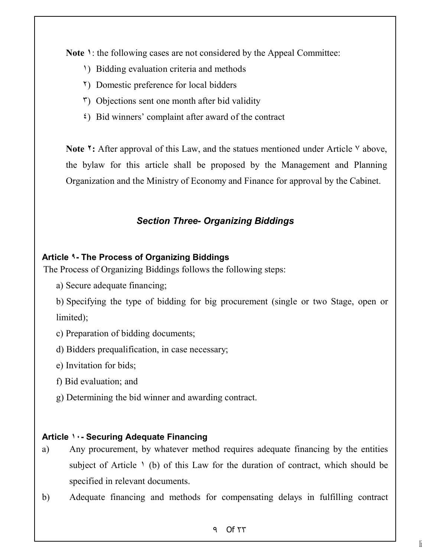**Note ١**: the following cases are not considered by the Appeal Committee:

- ١) Bidding evaluation criteria and methods
- ٢) Domestic preference for local bidders
- $\mathfrak{r}$ ) Objections sent one month after bid validity
- ٤) Bid winners' complaint after award of the contract

**Note <sup>1</sup>:** After approval of this Law, and the statues mentioned under Article <sup>V</sup> above, the bylaw for this article shall be proposed by the Management and Planning Organization and the Ministry of Economy and Finance for approval by the Cabinet.

## *Section Three- Organizing Biddings*

## **Article ٩- The Process of Organizing Biddings**

The Process of Organizing Biddings follows the following steps:

a) Secure adequate financing;

b) Specifying the type of bidding for big procurement (single or two Stage, open or limited);

c) Preparation of bidding documents;

d) Bidders prequalification, in case necessary;

e) Invitation for bids;

f) Bid evaluation; and

g) Determining the bid winner and awarding contract.

## **Article ١٠- Securing Adequate Financing**

- a) Any procurement, by whatever method requires adequate financing by the entities subject of Article  $\lambda$  (b) of this Law for the duration of contract, which should be specified in relevant documents.
- b) Adequate financing and methods for compensating delays in fulfilling contract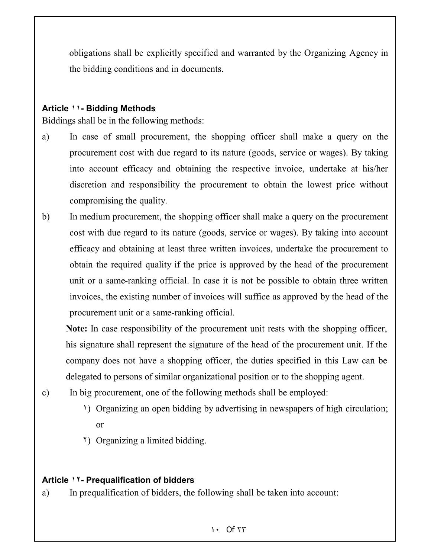obligations shall be explicitly specified and warranted by the Organizing Agency in the bidding conditions and in documents.

#### **Article ١١- Bidding Methods**

Biddings shall be in the following methods:

- a) In case of small procurement, the shopping officer shall make a query on the procurement cost with due regard to its nature (goods, service or wages). By taking into account efficacy and obtaining the respective invoice, undertake at his/her discretion and responsibility the procurement to obtain the lowest price without compromising the quality.
- b) In medium procurement, the shopping officer shall make a query on the procurement cost with due regard to its nature (goods, service or wages). By taking into account efficacy and obtaining at least three written invoices, undertake the procurement to obtain the required quality if the price is approved by the head of the procurement unit or a same-ranking official. In case it is not be possible to obtain three written invoices, the existing number of invoices will suffice as approved by the head of the procurement unit or a same-ranking official.

**Note:** In case responsibility of the procurement unit rests with the shopping officer, his signature shall represent the signature of the head of the procurement unit. If the company does not have a shopping officer, the duties specified in this Law can be delegated to persons of similar organizational position or to the shopping agent.

- c) In big procurement, one of the following methods shall be employed:
	- ١) Organizing an open bidding by advertising in newspapers of high circulation; or
	- ٢) Organizing a limited bidding.

## **Article ١٢- Prequalification of bidders**

a) In prequalification of bidders, the following shall be taken into account:

#### Of ١٠ ٢٣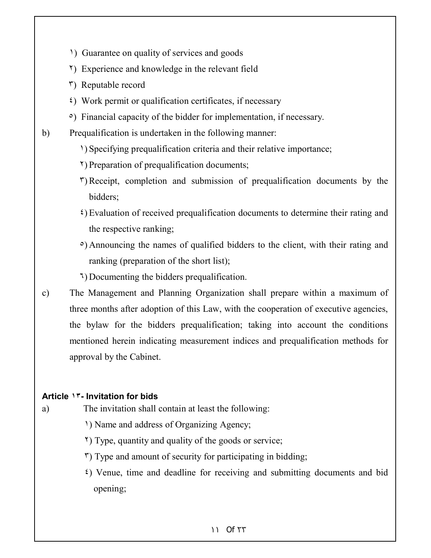- ١) Guarantee on quality of services and goods
- ٢) Experience and knowledge in the relevant field
- ٣) Reputable record
- ٤) Work permit or qualification certificates, if necessary
- ٥) Financial capacity of the bidder for implementation, if necessary.
- b) Prequalification is undertaken in the following manner:
	- ١) Specifying prequalification criteria and their relative importance;
	- ٢) Preparation of prequalification documents;
	- ٣) Receipt, completion and submission of prequalification documents by the bidders;
	- ٤) Evaluation of received prequalification documents to determine their rating and the respective ranking;
	- ٥) Announcing the names of qualified bidders to the client, with their rating and ranking (preparation of the short list);
	- ٦) Documenting the bidders prequalification.
- c) The Management and Planning Organization shall prepare within a maximum of three months after adoption of this Law, with the cooperation of executive agencies, the bylaw for the bidders prequalification; taking into account the conditions mentioned herein indicating measurement indices and prequalification methods for approval by the Cabinet.

#### **Article ١٣- Invitation for bids**

- a) The invitation shall contain at least the following:
	- ١) Name and address of Organizing Agency;
	- ٢) Type, quantity and quality of the goods or service;
	- ٣) Type and amount of security for participating in bidding;
	- ٤) Venue, time and deadline for receiving and submitting documents and bid opening;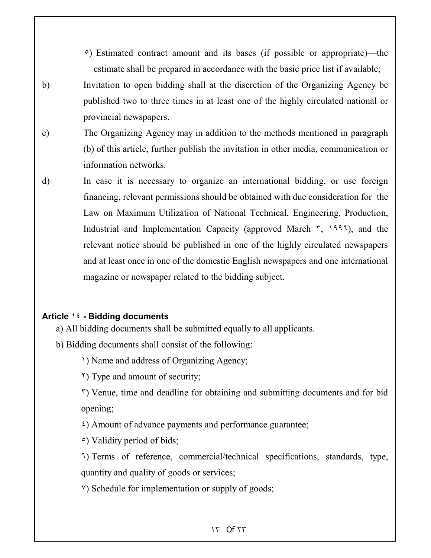- ٥) Estimated contract amount and its bases (if possible or appropriate)—the estimate shall be prepared in accordance with the basic price list if available;
- b) Invitation to open bidding shall at the discretion of the Organizing Agency be published two to three times in at least one of the highly circulated national or provincial newspapers.
- c) The Organizing Agency may in addition to the methods mentioned in paragraph (b) of this article, further publish the invitation in other media, communication or information networks.
- d) In case it is necessary to organize an international bidding, or use foreign financing, relevant permissions should be obtained with due consideration for the Law on Maximum Utilization of National Technical, Engineering, Production, Industrial and Implementation Capacity (approved March  $\tilde{r}$ , 1997), and the relevant notice should be published in one of the highly circulated newspapers and at least once in one of the domestic English newspapers and one international magazine or newspaper related to the bidding subject.

#### **Article ١٤ - Bidding documents**

- a) All bidding documents shall be submitted equally to all applicants.
- b) Bidding documents shall consist of the following:
	- ١) Name and address of Organizing Agency;
	- ٢) Type and amount of security;
	- ٣) Venue, time and deadline for obtaining and submitting documents and for bid opening;
	- ٤) Amount of advance payments and performance guarantee;
	- ٥) Validity period of bids;
	- ٦) Terms of reference, commercial/technical specifications, standards, type, quantity and quality of goods or services;
	- ٧) Schedule for implementation or supply of goods;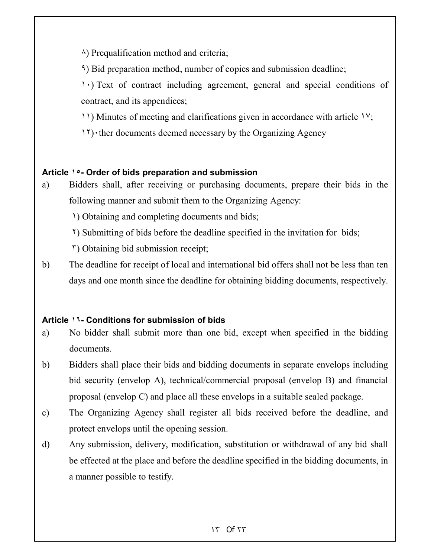٨) Prequalification method and criteria;

٩) Bid preparation method, number of copies and submission deadline;

١٠) Text of contract including agreement, general and special conditions of contract, and its appendices;

١١) Minutes of meeting and clarifications given in accordance with article ١٧;

١٢)٠ther documents deemed necessary by the Organizing Agency

## **Article ١٥- Order of bids preparation and submission**

a) Bidders shall, after receiving or purchasing documents, prepare their bids in the following manner and submit them to the Organizing Agency:

١) Obtaining and completing documents and bids;

٢) Submitting of bids before the deadline specified in the invitation for bids;

٣) Obtaining bid submission receipt;

b) The deadline for receipt of local and international bid offers shall not be less than ten days and one month since the deadline for obtaining bidding documents, respectively.

## **Article ١٦- Conditions for submission of bids**

a) No bidder shall submit more than one bid, except when specified in the bidding documents.

b) Bidders shall place their bids and bidding documents in separate envelops including bid security (envelop A), technical/commercial proposal (envelop B) and financial proposal (envelop C) and place all these envelops in a suitable sealed package.

- c) The Organizing Agency shall register all bids received before the deadline, and protect envelops until the opening session.
- d) Any submission, delivery, modification, substitution or withdrawal of any bid shall be effected at the place and before the deadline specified in the bidding documents, in a manner possible to testify.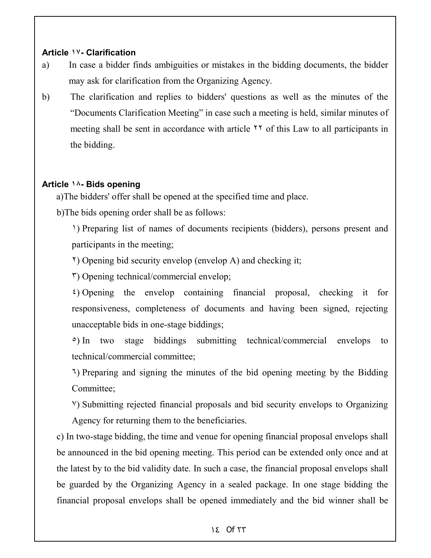#### **Article ١٧- Clarification**

- a) In case a bidder finds ambiguities or mistakes in the bidding documents, the bidder may ask for clarification from the Organizing Agency.
- b) The clarification and replies to bidders' questions as well as the minutes of the "Documents Clarification Meeting" in case such a meeting is held, similar minutes of meeting shall be sent in accordance with article ٢٢ of this Law to all participants in the bidding.

## **Article ١٨- Bids opening**

a)The bidders' offer shall be opened at the specified time and place.

b)The bids opening order shall be as follows:

١) Preparing list of names of documents recipients (bidders), persons present and participants in the meeting;

٢) Opening bid security envelop (envelop A) and checking it;

٣) Opening technical/commercial envelop;

٤) Opening the envelop containing financial proposal, checking it for responsiveness, completeness of documents and having been signed, rejecting unacceptable bids in one-stage biddings;

٥) In two stage biddings submitting technical/commercial envelops to technical/commercial committee;

٦) Preparing and signing the minutes of the bid opening meeting by the Bidding Committee;

٧) Submitting rejected financial proposals and bid security envelops to Organizing Agency for returning them to the beneficiaries.

c) In two-stage bidding, the time and venue for opening financial proposal envelops shall be announced in the bid opening meeting. This period can be extended only once and at the latest by to the bid validity date. In such a case, the financial proposal envelops shall be guarded by the Organizing Agency in a sealed package. In one stage bidding the financial proposal envelops shall be opened immediately and the bid winner shall be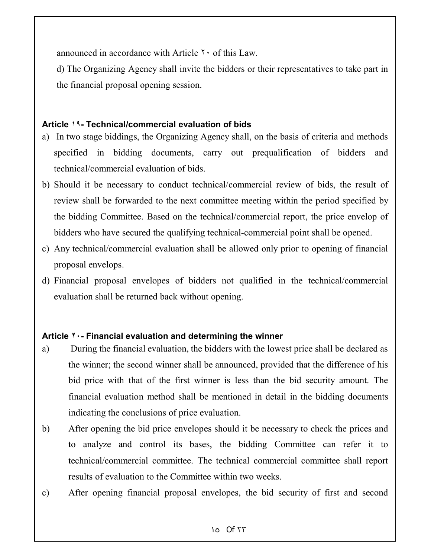announced in accordance with Article  $\mathbf{r} \cdot$  of this Law.

d) The Organizing Agency shall invite the bidders or their representatives to take part in the financial proposal opening session.

#### **Article ١٩- Technical/commercial evaluation of bids**

- a) In two stage biddings, the Organizing Agency shall, on the basis of criteria and methods specified in bidding documents, carry out prequalification of bidders and technical/commercial evaluation of bids.
- b) Should it be necessary to conduct technical/commercial review of bids, the result of review shall be forwarded to the next committee meeting within the period specified by the bidding Committee. Based on the technical/commercial report, the price envelop of bidders who have secured the qualifying technical-commercial point shall be opened.
- c) Any technical/commercial evaluation shall be allowed only prior to opening of financial proposal envelops.
- d) Financial proposal envelopes of bidders not qualified in the technical/commercial evaluation shall be returned back without opening.

## **Article ٢٠- Financial evaluation and determining the winner**

- a) During the financial evaluation, the bidders with the lowest price shall be declared as the winner; the second winner shall be announced, provided that the difference of his bid price with that of the first winner is less than the bid security amount. The financial evaluation method shall be mentioned in detail in the bidding documents indicating the conclusions of price evaluation.
- b) After opening the bid price envelopes should it be necessary to check the prices and to analyze and control its bases, the bidding Committee can refer it to technical/commercial committee. The technical commercial committee shall report results of evaluation to the Committee within two weeks.
- c) After opening financial proposal envelopes, the bid security of first and second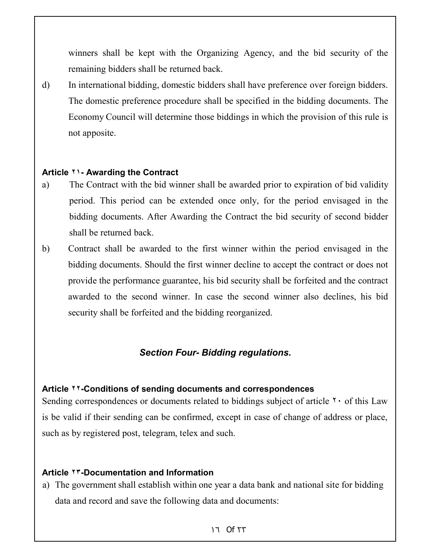winners shall be kept with the Organizing Agency, and the bid security of the remaining bidders shall be returned back.

d) In international bidding, domestic bidders shall have preference over foreign bidders. The domestic preference procedure shall be specified in the bidding documents. The Economy Council will determine those biddings in which the provision of this rule is not apposite.

#### **Article ٢١- Awarding the Contract**

- a) The Contract with the bid winner shall be awarded prior to expiration of bid validity period. This period can be extended once only, for the period envisaged in the bidding documents. After Awarding the Contract the bid security of second bidder shall be returned back.
- b) Contract shall be awarded to the first winner within the period envisaged in the bidding documents. Should the first winner decline to accept the contract or does not provide the performance guarantee, his bid security shall be forfeited and the contract awarded to the second winner. In case the second winner also declines, his bid security shall be forfeited and the bidding reorganized.

## *Section Four- Bidding regulations.*

#### **Article ٢٢-Conditions of sending documents and correspondences**

Sending correspondences or documents related to biddings subject of article  $\gamma$  of this Law is be valid if their sending can be confirmed, except in case of change of address or place, such as by registered post, telegram, telex and such.

#### **Article ٢٣-Documentation and Information**

a) The government shall establish within one year a data bank and national site for bidding data and record and save the following data and documents: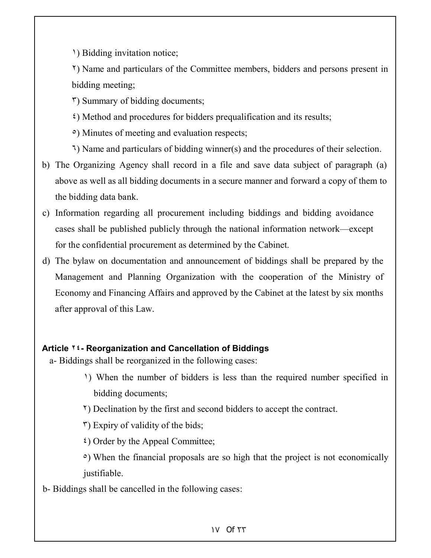١) Bidding invitation notice;

٢) Name and particulars of the Committee members, bidders and persons present in bidding meeting;

٣) Summary of bidding documents;

٤) Method and procedures for bidders prequalification and its results;

٥) Minutes of meeting and evaluation respects;

٦) Name and particulars of bidding winner(s) and the procedures of their selection.

- b) The Organizing Agency shall record in a file and save data subject of paragraph (a) above as well as all bidding documents in a secure manner and forward a copy of them to the bidding data bank.
- c) Information regarding all procurement including biddings and bidding avoidance cases shall be published publicly through the national information network—except for the confidential procurement as determined by the Cabinet.
- d) The bylaw on documentation and announcement of biddings shall be prepared by the Management and Planning Organization with the cooperation of the Ministry of Economy and Financing Affairs and approved by the Cabinet at the latest by six months after approval of this Law.

## **Article ٢٤- Reorganization and Cancellation of Biddings**

- a- Biddings shall be reorganized in the following cases:
	- ١) When the number of bidders is less than the required number specified in bidding documents;
	- ٢) Declination by the first and second bidders to accept the contract.

 $\tilde{r}$ ) Expiry of validity of the bids;

٤) Order by the Appeal Committee;

- ٥) When the financial proposals are so high that the project is not economically justifiable.
- b- Biddings shall be cancelled in the following cases: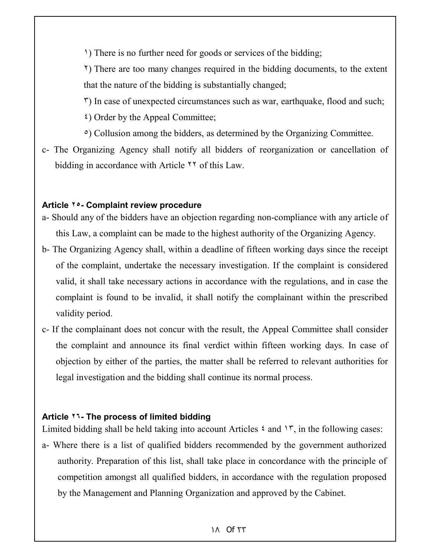١) There is no further need for goods or services of the bidding;

٢) There are too many changes required in the bidding documents, to the extent that the nature of the bidding is substantially changed;

٣) In case of unexpected circumstances such as war, earthquake, flood and such;

- ٤) Order by the Appeal Committee;
- ٥) Collusion among the bidders, as determined by the Organizing Committee.
- c- The Organizing Agency shall notify all bidders of reorganization or cancellation of bidding in accordance with Article ٢٢ of this Law.

#### **Article ٢٥- Complaint review procedure**

- a- Should any of the bidders have an objection regarding non-compliance with any article of this Law, a complaint can be made to the highest authority of the Organizing Agency.
- b- The Organizing Agency shall, within a deadline of fifteen working days since the receipt of the complaint, undertake the necessary investigation. If the complaint is considered valid, it shall take necessary actions in accordance with the regulations, and in case the complaint is found to be invalid, it shall notify the complainant within the prescribed validity period.
- c- If the complainant does not concur with the result, the Appeal Committee shall consider the complaint and announce its final verdict within fifteen working days. In case of objection by either of the parties, the matter shall be referred to relevant authorities for legal investigation and the bidding shall continue its normal process.

#### **Article ٢٦- The process of limited bidding**

Limited bidding shall be held taking into account Articles  $\epsilon$  and  $\Upsilon$ , in the following cases:

a- Where there is a list of qualified bidders recommended by the government authorized authority. Preparation of this list, shall take place in concordance with the principle of competition amongst all qualified bidders, in accordance with the regulation proposed by the Management and Planning Organization and approved by the Cabinet.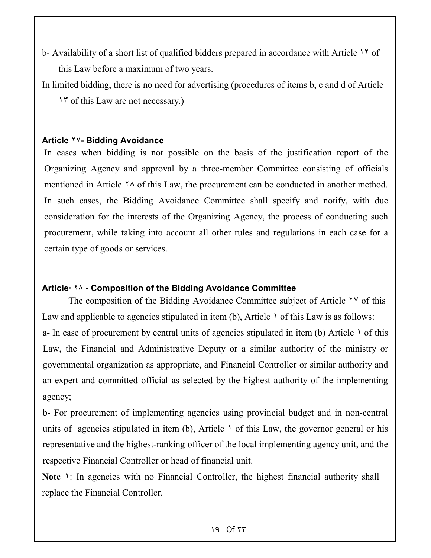- b- Availability of a short list of qualified bidders prepared in accordance with Article ١٢ of this Law before a maximum of two years.
- In limited bidding, there is no need for advertising (procedures of items b, c and d of Article ١٣ of this Law are not necessary.)

#### **Article ٢٧- Bidding Avoidance**

In cases when bidding is not possible on the basis of the justification report of the Organizing Agency and approval by a three-member Committee consisting of officials mentioned in Article ٢٨ of this Law, the procurement can be conducted in another method. In such cases, the Bidding Avoidance Committee shall specify and notify, with due consideration for the interests of the Organizing Agency, the process of conducting such procurement, while taking into account all other rules and regulations in each case for a certain type of goods or services.

## **Article· ٢٨ - Composition of the Bidding Avoidance Committee**

The composition of the Bidding Avoidance Committee subject of Article <sup>TV</sup> of this Law and applicable to agencies stipulated in item (b), Article  $\lambda$  of this Law is as follows: a- In case of procurement by central units of agencies stipulated in item (b) Article  $\cdot$  of this Law, the Financial and Administrative Deputy or a similar authority of the ministry or governmental organization as appropriate, and Financial Controller or similar authority and an expert and committed official as selected by the highest authority of the implementing agency;

b- For procurement of implementing agencies using provincial budget and in non-central units of agencies stipulated in item (b), Article  $\lambda$  of this Law, the governor general or his representative and the highest-ranking officer of the local implementing agency unit, and the respective Financial Controller or head of financial unit.

Note **1**: In agencies with no Financial Controller, the highest financial authority shall replace the Financial Controller.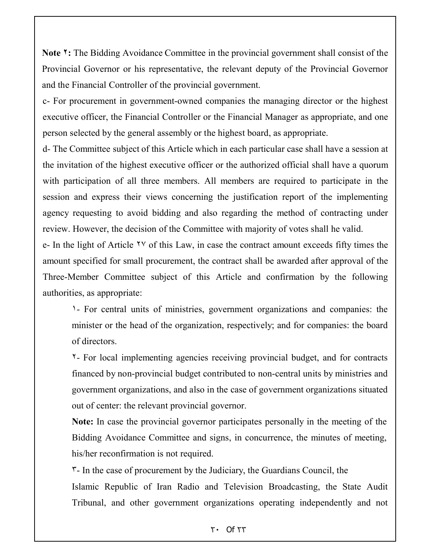**Note ٢:** The Bidding Avoidance Committee in the provincial government shall consist of the Provincial Governor or his representative, the relevant deputy of the Provincial Governor and the Financial Controller of the provincial government.

c- For procurement in government-owned companies the managing director or the highest executive officer, the Financial Controller or the Financial Manager as appropriate, and one person selected by the general assembly or the highest board, as appropriate.

d- The Committee subject of this Article which in each particular case shall have a session at the invitation of the highest executive officer or the authorized official shall have a quorum with participation of all three members. All members are required to participate in the session and express their views concerning the justification report of the implementing agency requesting to avoid bidding and also regarding the method of contracting under review. However, the decision of the Committee with majority of votes shall he valid.

e- In the light of Article ٢٧ of this Law, in case the contract amount exceeds fifty times the amount specified for small procurement, the contract shall be awarded after approval of the Three-Member Committee subject of this Article and confirmation by the following authorities, as appropriate:

١- For central units of ministries, government organizations and companies: the minister or the head of the organization, respectively; and for companies: the board of directors.

٢- For local implementing agencies receiving provincial budget, and for contracts financed by non-provincial budget contributed to non-central units by ministries and government organizations, and also in the case of government organizations situated out of center: the relevant provincial governor.

**Note:** In case the provincial governor participates personally in the meeting of the Bidding Avoidance Committee and signs, in concurrence, the minutes of meeting, his/her reconfirmation is not required.

٣- In the case of procurement by the Judiciary, the Guardians Council, the Islamic Republic of Iran Radio and Television Broadcasting, the State Audit Tribunal, and other government organizations operating independently and not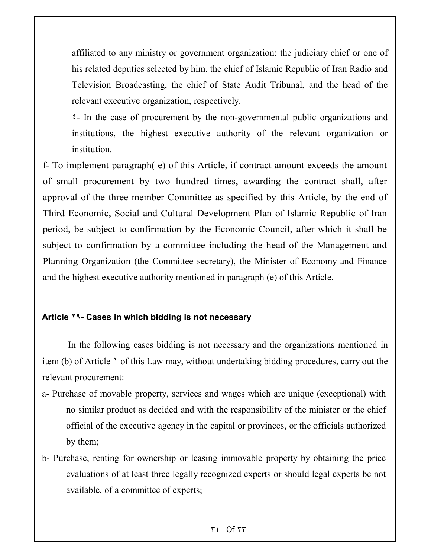affiliated to any ministry or government organization: the judiciary chief or one of his related deputies selected by him, the chief of Islamic Republic of Iran Radio and Television Broadcasting, the chief of State Audit Tribunal, and the head of the relevant executive organization, respectively.

٤- In the case of procurement by the non-governmental public organizations and institutions, the highest executive authority of the relevant organization or institution.

f- To implement paragraph( e) of this Article, if contract amount exceeds the amount of small procurement by two hundred times, awarding the contract shall, after approval of the three member Committee as specified by this Article, by the end of Third Economic, Social and Cultural Development Plan of Islamic Republic of Iran period, be subject to confirmation by the Economic Council, after which it shall be subject to confirmation by a committee including the head of the Management and Planning Organization (the Committee secretary), the Minister of Economy and Finance and the highest executive authority mentioned in paragraph (e) of this Article.

#### **Article ٢٩- Cases in which bidding is not necessary**

In the following cases bidding is not necessary and the organizations mentioned in item (b) of Article ١ of this Law may, without undertaking bidding procedures, carry out the relevant procurement:

- a- Purchase of movable property, services and wages which are unique (exceptional) with no similar product as decided and with the responsibility of the minister or the chief official of the executive agency in the capital or provinces, or the officials authorized by them;
- b- Purchase, renting for ownership or leasing immovable property by obtaining the price evaluations of at least three legally recognized experts or should legal experts be not available, of a committee of experts;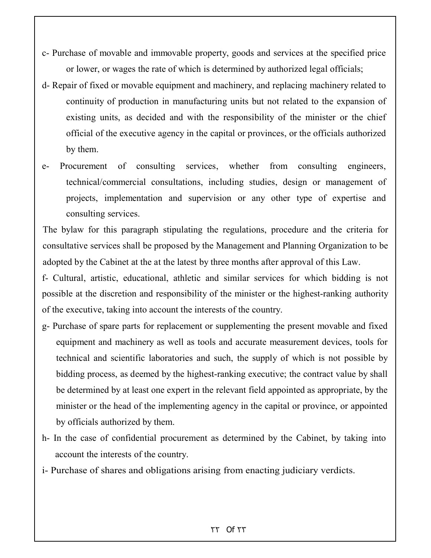- c- Purchase of movable and immovable property, goods and services at the specified price or lower, or wages the rate of which is determined by authorized legal officials;
- d- Repair of fixed or movable equipment and machinery, and replacing machinery related to continuity of production in manufacturing units but not related to the expansion of existing units, as decided and with the responsibility of the minister or the chief official of the executive agency in the capital or provinces, or the officials authorized by them.
- e- Procurement of consulting services, whether from consulting engineers, technical/commercial consultations, including studies, design or management of projects, implementation and supervision or any other type of expertise and consulting services.

The bylaw for this paragraph stipulating the regulations, procedure and the criteria for consultative services shall be proposed by the Management and Planning Organization to be adopted by the Cabinet at the at the latest by three months after approval of this Law.

f- Cultural, artistic, educational, athletic and similar services for which bidding is not possible at the discretion and responsibility of the minister or the highest-ranking authority of the executive, taking into account the interests of the country.

- g- Purchase of spare parts for replacement or supplementing the present movable and fixed equipment and machinery as well as tools and accurate measurement devices, tools for technical and scientific laboratories and such, the supply of which is not possible by bidding process, as deemed by the highest-ranking executive; the contract value by shall be determined by at least one expert in the relevant field appointed as appropriate, by the minister or the head of the implementing agency in the capital or province, or appointed by officials authorized by them.
- h- In the case of confidential procurement as determined by the Cabinet, by taking into account the interests of the country.
- i- Purchase of shares and obligations arising from enacting judiciary verdicts.